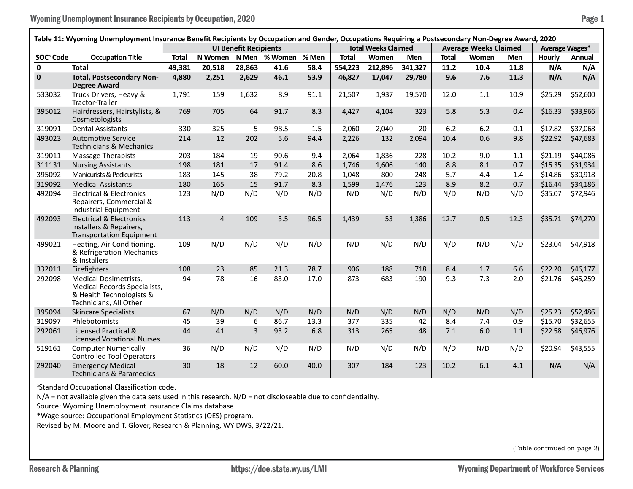| Table 11: Wyoming Unemployment Insurance Benefit Recipients by Occupation and Gender, Occupations Requiring a Postsecondary Non-Degree Award, 2020 |                                                                                                                    |                              |                |        |               |       |                            |         |            |                              |       |            |                |          |
|----------------------------------------------------------------------------------------------------------------------------------------------------|--------------------------------------------------------------------------------------------------------------------|------------------------------|----------------|--------|---------------|-------|----------------------------|---------|------------|------------------------------|-------|------------|----------------|----------|
|                                                                                                                                                    |                                                                                                                    | <b>UI Benefit Recipients</b> |                |        |               |       | <b>Total Weeks Claimed</b> |         |            | <b>Average Weeks Claimed</b> |       |            | Average Wages* |          |
| SOC <sup>ª</sup> Code                                                                                                                              | <b>Occupation Title</b>                                                                                            | <b>Total</b>                 | N Women        |        | N Men % Women | % Men | <b>Total</b>               | Women   | <b>Men</b> | <b>Total</b>                 | Women | <b>Men</b> | <b>Hourly</b>  | Annual   |
| $\mathbf{0}$                                                                                                                                       | <b>Total</b>                                                                                                       | 49,381                       | 20,518         | 28,863 | 41.6          | 58.4  | 554,223                    | 212,896 | 341,327    | 11.2                         | 10.4  | 11.8       | N/A            | N/A      |
| $\mathbf 0$                                                                                                                                        | <b>Total, Postsecondary Non-</b><br><b>Degree Award</b>                                                            | 4,880                        | 2,251          | 2,629  | 46.1          | 53.9  | 46,827                     | 17,047  | 29,780     | 9.6                          | 7.6   | 11.3       | N/A            | N/A      |
| 533032                                                                                                                                             | Truck Drivers, Heavy &<br>Tractor-Trailer                                                                          | 1,791                        | 159            | 1,632  | 8.9           | 91.1  | 21,507                     | 1,937   | 19,570     | 12.0                         | 1.1   | 10.9       | \$25.29        | \$52,600 |
| 395012                                                                                                                                             | Hairdressers, Hairstylists, &<br>Cosmetologists                                                                    | 769                          | 705            | 64     | 91.7          | 8.3   | 4,427                      | 4,104   | 323        | 5.8                          | 5.3   | 0.4        | \$16.33        | \$33,966 |
| 319091                                                                                                                                             | <b>Dental Assistants</b>                                                                                           | 330                          | 325            | 5      | 98.5          | 1.5   | 2,060                      | 2,040   | 20         | 6.2                          | 6.2   | 0.1        | \$17.82        | \$37,068 |
| 493023                                                                                                                                             | <b>Automotive Service</b><br><b>Technicians &amp; Mechanics</b>                                                    | 214                          | 12             | 202    | 5.6           | 94.4  | 2,226                      | 132     | 2,094      | 10.4                         | 0.6   | 9.8        | \$22.92        | \$47,683 |
| 319011                                                                                                                                             | <b>Massage Therapists</b>                                                                                          | 203                          | 184            | 19     | 90.6          | 9.4   | 2,064                      | 1,836   | 228        | 10.2                         | 9.0   | 1.1        | \$21.19        | \$44,086 |
| 311131                                                                                                                                             | <b>Nursing Assistants</b>                                                                                          | 198                          | 181            | 17     | 91.4          | 8.6   | 1,746                      | 1,606   | 140        | 8.8                          | 8.1   | 0.7        | \$15.35        | \$31,934 |
| 395092                                                                                                                                             | <b>Manicurists &amp; Pedicurists</b>                                                                               | 183                          | 145            | 38     | 79.2          | 20.8  | 1,048                      | 800     | 248        | 5.7                          | 4.4   | 1.4        | \$14.86        | \$30,918 |
| 319092                                                                                                                                             | <b>Medical Assistants</b>                                                                                          | 180                          | 165            | 15     | 91.7          | 8.3   | 1,599                      | 1,476   | 123        | 8.9                          | 8.2   | 0.7        | \$16.44        | \$34,186 |
| 492094                                                                                                                                             | <b>Electrical &amp; Electronics</b><br>Repairers, Commercial &<br><b>Industrial Equipment</b>                      | 123                          | N/D            | N/D    | N/D           | N/D   | N/D                        | N/D     | N/D        | N/D                          | N/D   | N/D        | \$35.07        | \$72,946 |
| 492093                                                                                                                                             | <b>Electrical &amp; Electronics</b><br>Installers & Repairers,<br><b>Transportation Equipment</b>                  | 113                          | $\overline{4}$ | 109    | 3.5           | 96.5  | 1,439                      | 53      | 1,386      | 12.7                         | 0.5   | 12.3       | \$35.71        | \$74,270 |
| 499021                                                                                                                                             | Heating, Air Conditioning,<br>& Refrigeration Mechanics<br>& Installers                                            | 109                          | N/D            | N/D    | N/D           | N/D   | N/D                        | N/D     | N/D        | N/D                          | N/D   | N/D        | \$23.04        | \$47,918 |
| 332011                                                                                                                                             | Firefighters                                                                                                       | 108                          | 23             | 85     | 21.3          | 78.7  | 906                        | 188     | 718        | 8.4                          | 1.7   | 6.6        | \$22.20        | \$46,177 |
| 292098                                                                                                                                             | <b>Medical Dosimetrists,</b><br>Medical Records Specialists,<br>& Health Technologists &<br>Technicians, All Other | 94                           | 78             | 16     | 83.0          | 17.0  | 873                        | 683     | 190        | 9.3                          | 7.3   | 2.0        | \$21.76        | \$45,259 |
| 395094                                                                                                                                             | <b>Skincare Specialists</b>                                                                                        | 67                           | N/D            | N/D    | N/D           | N/D   | N/D                        | N/D     | N/D        | N/D                          | N/D   | N/D        | \$25.23        | \$52,486 |
| 319097                                                                                                                                             | Phlebotomists                                                                                                      | 45                           | 39             | 6      | 86.7          | 13.3  | 377                        | 335     | 42         | 8.4                          | 7.4   | 0.9        | \$15.70        | \$32,655 |
| 292061                                                                                                                                             | Licensed Practical &<br><b>Licensed Vocational Nurses</b>                                                          | 44                           | 41             | 3      | 93.2          | 6.8   | 313                        | 265     | 48         | 7.1                          | 6.0   | 1.1        | \$22.58        | \$46,976 |
| 519161                                                                                                                                             | <b>Computer Numerically</b><br><b>Controlled Tool Operators</b>                                                    | 36                           | N/D            | N/D    | N/D           | N/D   | N/D                        | N/D     | N/D        | N/D                          | N/D   | N/D        | \$20.94        | \$43,555 |
| 292040                                                                                                                                             | <b>Emergency Medical</b><br><b>Technicians &amp; Paramedics</b>                                                    | 30                           | 18             | 12     | 60.0          | 40.0  | 307                        | 184     | 123        | 10.2                         | 6.1   | 4.1        | N/A            | N/A      |

<sup>a</sup>Standard Occupational Classification code.

N/A = not available given the data sets used in this research. N/D = not discloseable due to confidentiality.

Source: Wyoming Unemployment Insurance Claims database.

\*Wage source: Occupational Employment Statistics (OES) program.

Revised by M. Moore and T. Glover, Research & Planning, WY DWS, 3/22/21.

(Table continued on page 2)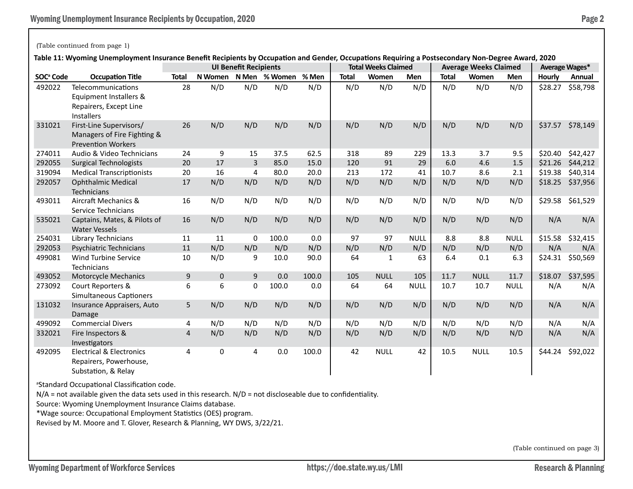## (Table continued from page 1)

**Table 11: Wyoming Unemployment Insurance Benefit Recipients by Occupation and Gender, Occupations Requiring a Postsecondary Non-Degree Award, 2020**

|                       |                                                                                             | iable II. Wyoming Onemployment msulance benent Recipients by Occupation and Genuel, Occupations Requiring a Fostsecondaly Non-Degree Award, Z020<br><b>UI Benefit Recipients</b> |         |       |         |       | <b>Total Weeks Claimed</b> |              |             | <b>Average Weeks Claimed</b> | Average Wages* |             |         |                  |
|-----------------------|---------------------------------------------------------------------------------------------|----------------------------------------------------------------------------------------------------------------------------------------------------------------------------------|---------|-------|---------|-------|----------------------------|--------------|-------------|------------------------------|----------------|-------------|---------|------------------|
| SOC <sup>ª</sup> Code | <b>Occupation Title</b>                                                                     | <b>Total</b>                                                                                                                                                                     | N Women | N Men | % Women | % Men | <b>Total</b>               | Women        | <b>Men</b>  | <b>Total</b>                 | Women          | <b>Men</b>  | Hourly  | Annual           |
| 492022                | Telecommunications<br>Equipment Installers &<br>Repairers, Except Line<br><b>Installers</b> | 28                                                                                                                                                                               | N/D     | N/D   | N/D     | N/D   | N/D                        | N/D          | N/D         | N/D                          | N/D            | N/D         | \$28.27 | \$58,798         |
| 331021                | First-Line Supervisors/<br>Managers of Fire Fighting &<br><b>Prevention Workers</b>         | 26                                                                                                                                                                               | N/D     | N/D   | N/D     | N/D   | N/D                        | N/D          | N/D         | N/D                          | N/D            | N/D         | \$37.57 | \$78,149         |
| 274011                | Audio & Video Technicians                                                                   | 24                                                                                                                                                                               | 9       | 15    | 37.5    | 62.5  | 318                        | 89           | 229         | 13.3                         | 3.7            | 9.5         | \$20.40 | \$42,427         |
| 292055                | <b>Surgical Technologists</b>                                                               | 20                                                                                                                                                                               | 17      | 3     | 85.0    | 15.0  | 120                        | 91           | 29          | 6.0                          | 4.6            | 1.5         | \$21.26 | \$44,212         |
| 319094                | <b>Medical Transcriptionists</b>                                                            | 20                                                                                                                                                                               | 16      | 4     | 80.0    | 20.0  | 213                        | 172          | 41          | 10.7                         | 8.6            | 2.1         | \$19.38 | \$40,314         |
| 292057                | <b>Ophthalmic Medical</b><br>Technicians                                                    | 17                                                                                                                                                                               | N/D     | N/D   | N/D     | N/D   | N/D                        | N/D          | N/D         | N/D                          | N/D            | N/D         | \$18.25 | \$37,956         |
| 493011                | Aircraft Mechanics &<br>Service Technicians                                                 | 16                                                                                                                                                                               | N/D     | N/D   | N/D     | N/D   | N/D                        | N/D          | N/D         | N/D                          | N/D            | N/D         |         | \$29.58 \$61,529 |
| 535021                | Captains, Mates, & Pilots of<br><b>Water Vessels</b>                                        | 16                                                                                                                                                                               | N/D     | N/D   | N/D     | N/D   | N/D                        | N/D          | N/D         | N/D                          | N/D            | N/D         | N/A     | N/A              |
| 254031                | Library Technicians                                                                         | 11                                                                                                                                                                               | 11      | 0     | 100.0   | 0.0   | 97                         | 97           | <b>NULL</b> | 8.8                          | 8.8            | <b>NULL</b> | \$15.58 | \$32,415         |
| 292053                | Psychiatric Technicians                                                                     | 11                                                                                                                                                                               | N/D     | N/D   | N/D     | N/D   | N/D                        | N/D          | N/D         | N/D                          | N/D            | N/D         | N/A     | N/A              |
| 499081                | <b>Wind Turbine Service</b><br>Technicians                                                  | 10                                                                                                                                                                               | N/D     | 9     | 10.0    | 90.0  | 64                         | $\mathbf{1}$ | 63          | 6.4                          | 0.1            | 6.3         | \$24.31 | \$50,569         |
| 493052                | Motorcycle Mechanics                                                                        | 9                                                                                                                                                                                | 0       | 9     | 0.0     | 100.0 | 105                        | <b>NULL</b>  | 105         | 11.7                         | <b>NULL</b>    | 11.7        | \$18.07 | \$37,595         |
| 273092                | Court Reporters &<br>Simultaneous Captioners                                                | 6                                                                                                                                                                                | 6       | 0     | 100.0   | 0.0   | 64                         | 64           | <b>NULL</b> | 10.7                         | 10.7           | <b>NULL</b> | N/A     | N/A              |
| 131032                | Insurance Appraisers, Auto<br>Damage                                                        | 5                                                                                                                                                                                | N/D     | N/D   | N/D     | N/D   | N/D                        | N/D          | N/D         | N/D                          | N/D            | N/D         | N/A     | N/A              |
| 499092                | <b>Commercial Divers</b>                                                                    | 4                                                                                                                                                                                | N/D     | N/D   | N/D     | N/D   | N/D                        | N/D          | N/D         | N/D                          | N/D            | N/D         | N/A     | N/A              |
| 332021                | Fire Inspectors &<br>Investigators                                                          | 4                                                                                                                                                                                | N/D     | N/D   | N/D     | N/D   | N/D                        | N/D          | N/D         | N/D                          | N/D            | N/D         | N/A     | N/A              |
| 492095                | <b>Electrical &amp; Electronics</b><br>Repairers, Powerhouse,<br>Substation, & Relay        | 4                                                                                                                                                                                | 0       | 4     | 0.0     | 100.0 | 42                         | <b>NULL</b>  | 42          | 10.5                         | <b>NULL</b>    | 10.5        | \$44.24 | \$92,022         |

<sup>a</sup>Standard Occupational Classification code.

 $N/A$  = not available given the data sets used in this research.  $N/D$  = not discloseable due to confidentiality.

Source: Wyoming Unemployment Insurance Claims database.

\*Wage source: Occupational Employment Statistics (OES) program.

Revised by M. Moore and T. Glover, Research & Planning, WY DWS, 3/22/21.

(Table continued on page 3)